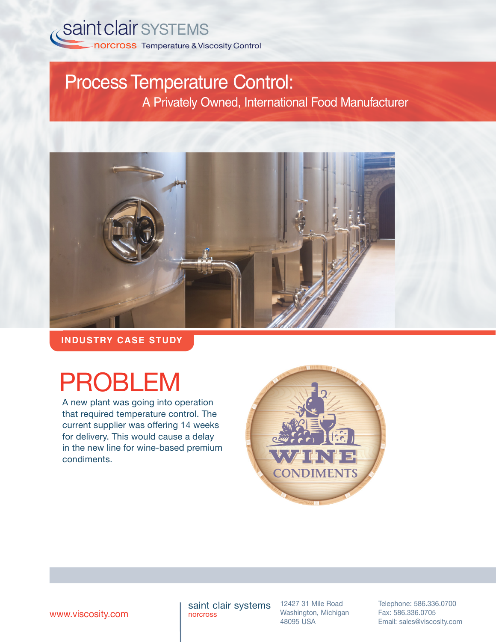

## Process Temperature Control: A Privately Owned, International Food Manufacturer

**INDUSTRY CASE STUDY**

# PROBLEM

A new plant was going into operation that required temperature control. The current supplier was offering 14 weeks for delivery. This would cause a delay in the new line for wine-based premium condiments.



saint clair systems norcross

12427 31 Mile Road Washington, Michigan 48095 USA

Telephone: 586.336.0700 Fax: 586.336.0705 **WWW.viscosity.com 1980** norcross Mashington, Michigan Fax: 586.336.0705<br>48095 USA Email: sales@viscosity.com